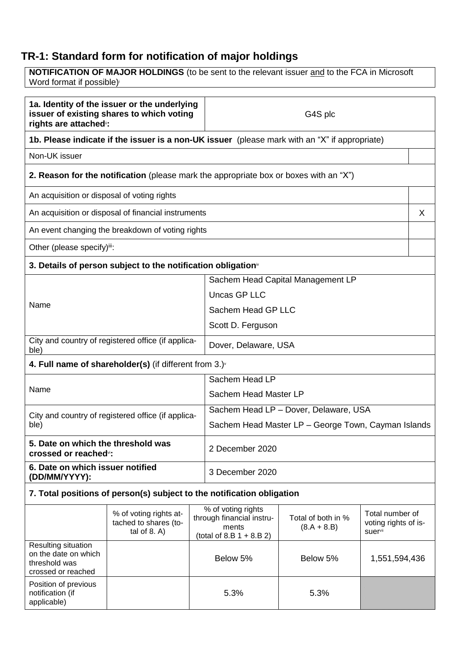## **TR-1: Standard form for notification of major holdings**

**NOTIFICATION OF MAJOR HOLDINGS** (to be sent to the relevant issuer and to the FCA in Microsoft Word format if possible)

| 1a. Identity of the issuer or the underlying<br>issuer of existing shares to which voting<br>rights are attached": |                                                                                              | G4S plc                               |                                                                                         |                                     |                                                    |   |
|--------------------------------------------------------------------------------------------------------------------|----------------------------------------------------------------------------------------------|---------------------------------------|-----------------------------------------------------------------------------------------|-------------------------------------|----------------------------------------------------|---|
| 1b. Please indicate if the issuer is a non-UK issuer (please mark with an "X" if appropriate)                      |                                                                                              |                                       |                                                                                         |                                     |                                                    |   |
| Non-UK issuer                                                                                                      |                                                                                              |                                       |                                                                                         |                                     |                                                    |   |
|                                                                                                                    | <b>2. Reason for the notification</b> (please mark the appropriate box or boxes with an "X") |                                       |                                                                                         |                                     |                                                    |   |
| An acquisition or disposal of voting rights                                                                        |                                                                                              |                                       |                                                                                         |                                     |                                                    |   |
|                                                                                                                    | An acquisition or disposal of financial instruments                                          |                                       |                                                                                         |                                     |                                                    | X |
|                                                                                                                    | An event changing the breakdown of voting rights                                             |                                       |                                                                                         |                                     |                                                    |   |
| Other (please specify)iii:                                                                                         |                                                                                              |                                       |                                                                                         |                                     |                                                    |   |
|                                                                                                                    | 3. Details of person subject to the notification obligation <sup>®</sup>                     |                                       |                                                                                         |                                     |                                                    |   |
|                                                                                                                    |                                                                                              |                                       |                                                                                         | Sachem Head Capital Management LP   |                                                    |   |
|                                                                                                                    |                                                                                              |                                       | <b>Uncas GP LLC</b>                                                                     |                                     |                                                    |   |
| Name                                                                                                               |                                                                                              |                                       | Sachem Head GP LLC                                                                      |                                     |                                                    |   |
|                                                                                                                    |                                                                                              |                                       | Scott D. Ferguson                                                                       |                                     |                                                    |   |
| City and country of registered office (if applica-<br>ble)                                                         |                                                                                              | Dover, Delaware, USA                  |                                                                                         |                                     |                                                    |   |
|                                                                                                                    | 4. Full name of shareholder(s) (if different from $3.$ ) $\sqrt{ }$                          |                                       |                                                                                         |                                     |                                                    |   |
|                                                                                                                    |                                                                                              | Sachem Head LP                        |                                                                                         |                                     |                                                    |   |
| Name                                                                                                               |                                                                                              | Sachem Head Master LP                 |                                                                                         |                                     |                                                    |   |
| City and country of registered office (if applica-                                                                 |                                                                                              | Sachem Head LP - Dover, Delaware, USA |                                                                                         |                                     |                                                    |   |
| ble)                                                                                                               |                                                                                              |                                       | Sachem Head Master LP – George Town, Cayman Islands                                     |                                     |                                                    |   |
| 5. Date on which the threshold was<br>crossed or reached <sup>®</sup> :                                            |                                                                                              | 2 December 2020                       |                                                                                         |                                     |                                                    |   |
| 6. Date on which issuer notified<br>(DD/MM/YYYY):                                                                  |                                                                                              | 3 December 2020                       |                                                                                         |                                     |                                                    |   |
| 7. Total positions of person(s) subject to the notification obligation                                             |                                                                                              |                                       |                                                                                         |                                     |                                                    |   |
|                                                                                                                    | % of voting rights at-<br>tached to shares (to-<br>tal of $8. A$ )                           |                                       | % of voting rights<br>through financial instru-<br>ments<br>(total of 8.B $1 + 8.B 2$ ) | Total of both in %<br>$(8.A + 8.B)$ | Total number of<br>voting rights of is-<br>suervii |   |
| Resulting situation<br>on the date on which<br>threshold was<br>crossed or reached                                 |                                                                                              | Below 5%                              |                                                                                         | Below 5%                            | 1,551,594,436                                      |   |
| Position of previous<br>notification (if<br>applicable)                                                            |                                                                                              | 5.3%                                  |                                                                                         | 5.3%                                |                                                    |   |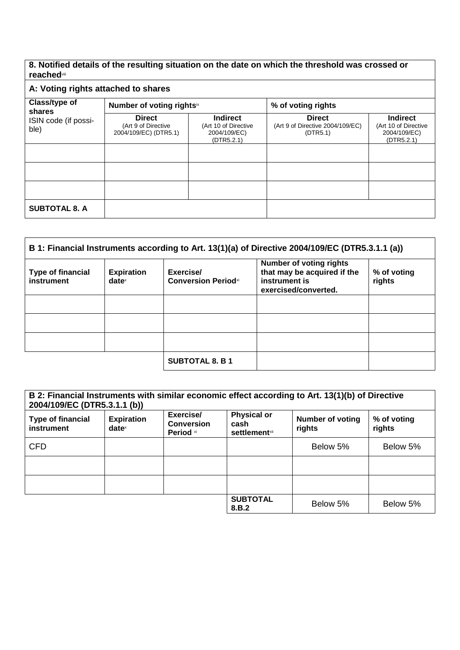## **8. Notified details of the resulting situation on the date on which the threshold was crossed or reached**viii

## **A: Voting rights attached to shares**

| Class/type of<br>shares<br>ISIN code (if possi-<br>ble) | Number of voting rightsix                                     |                                                                       | % of voting rights                                            |                                                                       |  |
|---------------------------------------------------------|---------------------------------------------------------------|-----------------------------------------------------------------------|---------------------------------------------------------------|-----------------------------------------------------------------------|--|
|                                                         | <b>Direct</b><br>(Art 9 of Directive<br>2004/109/EC) (DTR5.1) | <b>Indirect</b><br>(Art 10 of Directive<br>2004/109/EC)<br>(DTR5.2.1) | <b>Direct</b><br>(Art 9 of Directive 2004/109/EC)<br>(DTR5.1) | <b>Indirect</b><br>(Art 10 of Directive<br>2004/109/EC)<br>(DTR5.2.1) |  |
|                                                         |                                                               |                                                                       |                                                               |                                                                       |  |
|                                                         |                                                               |                                                                       |                                                               |                                                                       |  |
|                                                         |                                                               |                                                                       |                                                               |                                                                       |  |
| <b>SUBTOTAL 8. A</b>                                    |                                                               |                                                                       |                                                               |                                                                       |  |

| B 1: Financial Instruments according to Art. 13(1)(a) of Directive 2004/109/EC (DTR5.3.1.1 (a)) |                               |                                         |                                                                                                        |                       |
|-------------------------------------------------------------------------------------------------|-------------------------------|-----------------------------------------|--------------------------------------------------------------------------------------------------------|-----------------------|
| <b>Type of financial</b><br>instrument                                                          | <b>Expiration</b><br>$date^x$ | Exercise/<br><b>Conversion Periodxi</b> | <b>Number of voting rights</b><br>that may be acquired if the<br>instrument is<br>exercised/converted. | % of voting<br>rights |
|                                                                                                 |                               |                                         |                                                                                                        |                       |
|                                                                                                 |                               |                                         |                                                                                                        |                       |
|                                                                                                 |                               |                                         |                                                                                                        |                       |
|                                                                                                 |                               | <b>SUBTOTAL 8. B 1</b>                  |                                                                                                        |                       |

| B 2: Financial Instruments with similar economic effect according to Art. 13(1)(b) of Directive<br>2004/109/EC (DTR5.3.1.1 (b)) |                                      |                                             |                                                     |                                   |                       |
|---------------------------------------------------------------------------------------------------------------------------------|--------------------------------------|---------------------------------------------|-----------------------------------------------------|-----------------------------------|-----------------------|
| <b>Type of financial</b><br>instrument                                                                                          | <b>Expiration</b><br>$date^{\times}$ | Exercise/<br><b>Conversion</b><br>Period xi | <b>Physical or</b><br>cash<br><b>settlement</b> xii | <b>Number of voting</b><br>rights | % of voting<br>rights |
| <b>CFD</b>                                                                                                                      |                                      |                                             |                                                     | Below 5%                          | Below 5%              |
|                                                                                                                                 |                                      |                                             |                                                     |                                   |                       |
|                                                                                                                                 |                                      |                                             |                                                     |                                   |                       |
|                                                                                                                                 |                                      |                                             | <b>SUBTOTAL</b><br>8.B.2                            | Below 5%                          | Below 5%              |